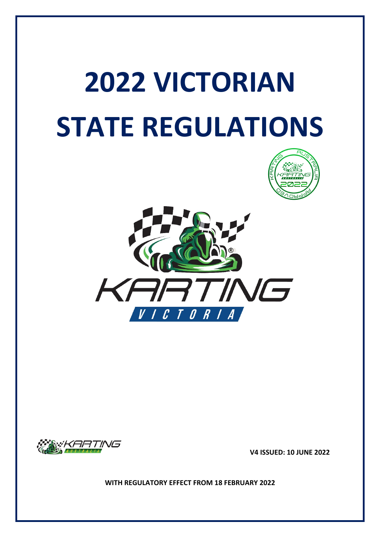# **2022 VICTORIAN STATE REGULATIONS**







 **V4 ISSUED: 10 JUNE 2022**

**WITH REGULATORY EFFECT FROM 18 FEBRUARY 2022**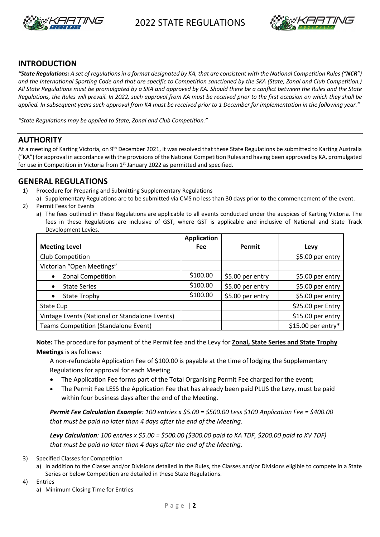



#### **INTRODUCTION**

*"State Regulations: A set of regulations in a format designated by KA, that are consistent with the National Competition Rules ("NCR") and the International Sporting Code and that are specific to Competition sanctioned by the SKA (State, Zonal and Club Competition.) All State Regulations must be promulgated by a SKA and approved by KA. Should there be a conflict between the Rules and the State Regulations, the Rules will prevail. In 2022, such approval from KA must be received prior to the first occasion on which they shall be applied. In subsequent years such approval from KA must be received prior to 1 December for implementation in the following year."*

*"State Regulations may be applied to State, Zonal and Club Competition."*

#### **AUTHORITY**

At a meeting of Karting Victoria, on 9<sup>th</sup> December 2021, it was resolved that these State Regulations be submitted to Karting Australia ("KA") for approval in accordance with the provisions of the National Competition Rules and having been approved by KA, promulgated for use in Competition in Victoria from  $1<sup>st</sup>$  January 2022 as permitted and specified.

#### **GENERAL REGULATIONS**

- 1) Procedure for Preparing and Submitting Supplementary Regulations
- a) Supplementary Regulations are to be submitted via CMS no less than 30 days prior to the commencement of the event.
- 2) Permit Fees for Events
	- a) The fees outlined in these Regulations are applicable to all events conducted under the auspices of Karting Victoria. The fees in these Regulations are inclusive of GST, where GST is applicable and inclusive of National and State Track Development Levies.

|                                                | <b>Application</b> |                  |                     |
|------------------------------------------------|--------------------|------------------|---------------------|
| <b>Meeting Level</b>                           | <b>Fee</b>         | Permit           | Levy                |
| Club Competition                               |                    |                  | \$5.00 per entry    |
| Victorian "Open Meetings"                      |                    |                  |                     |
| Zonal Competition                              | \$100.00           | \$5.00 per entry | \$5.00 per entry    |
| <b>State Series</b>                            | \$100.00           | \$5.00 per entry | \$5.00 per entry    |
| State Trophy                                   | \$100.00           | \$5.00 per entry | \$5.00 per entry    |
| State Cup                                      |                    |                  | \$25.00 per Entry   |
| Vintage Events (National or Standalone Events) |                    |                  | \$15.00 per entry   |
| <b>Teams Competition (Standalone Event)</b>    |                    |                  | $$15.00$ per entry* |

**Note:** The procedure for payment of the Permit fee and the Levy for **Zonal, State Series and State Trophy Meetings** is as follows:

A non-refundable Application Fee of \$100.00 is payable at the time of lodging the Supplementary Regulations for approval for each Meeting

- The Application Fee forms part of the Total Organising Permit Fee charged for the event;
- The Permit Fee LESS the Application Fee that has already been paid PLUS the Levy, must be paid within four business days after the end of the Meeting.

*Permit Fee Calculation Example: 100 entries x \$5.00 = \$500.00 Less \$100 Application Fee = \$400.00 that must be paid no later than 4 days after the end of the Meeting.*

*Levy Calculation: 100 entries x \$5.00 = \$500.00 (\$300.00 paid to KA TDF, \$200.00 paid to KV TDF) that must be paid no later than 4 days after the end of the Meeting.*

- 3) Specified Classes for Competition
	- a) In addition to the Classes and/or Divisions detailed in the Rules, the Classes and/or Divisions eligible to compete in a State Series or below Competition are detailed in these State Regulations.
- 4) Entries
	- a) Minimum Closing Time for Entries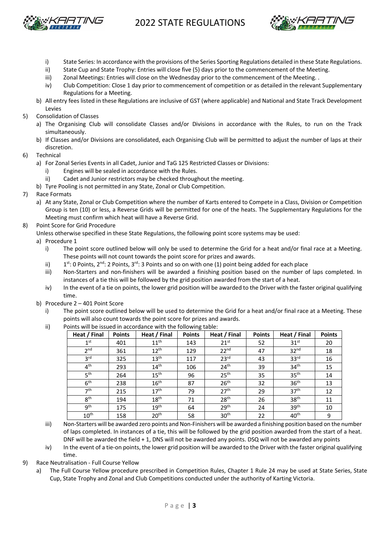



- i) State Series: In accordance with the provisions of the Series Sporting Regulations detailed in these State Regulations.
- ii) State Cup and State Trophy: Entries will close five (5) days prior to the commencement of the Meeting.
- iii) Zonal Meetings: Entries will close on the Wednesday prior to the commencement of the Meeting. .
- iv) Club Competition: Close 1 day prior to commencement of competition or as detailed in the relevant Supplementary Regulations for a Meeting.
- b) All entry fees listed in these Regulations are inclusive of GST (where applicable) and National and State Track Development Levies
- 5) Consolidation of Classes
	- a) The Organising Club will consolidate Classes and/or Divisions in accordance with the Rules, to run on the Track simultaneously.
	- b) If Classes and/or Divisions are consolidated, each Organising Club will be permitted to adjust the number of laps at their discretion.
- 6) Technical
	- a) For Zonal Series Events in all Cadet, Junior and TaG 125 Restricted Classes or Divisions:
		- i) Engines will be sealed in accordance with the Rules.
		- ii) Cadet and Junior restrictors may be checked throughout the meeting.
	- b) Tyre Pooling is not permitted in any State, Zonal or Club Competition.
- 7) Race Formats
	- a) At any State, Zonal or Club Competition where the number of Karts entered to Compete in a Class, Division or Competition Group is ten (10) or less, a Reverse Grids will be permitted for one of the heats. The Supplementary Regulations for the Meeting must confirm which heat will have a Reverse Grid.
- 8) Point Score for Grid Procedure
	- Unless otherwise specified in these State Regulations, the following point score systems may be used:
		- a) Procedure 1
			- i) The point score outlined below will only be used to determine the Grid for a heat and/or final race at a Meeting. These points will not count towards the point score for prizes and awards.
			- ii)  $1$ <sup>st</sup>: 0 Points, 2<sup>nd</sup>: 2 Points, 3<sup>rd</sup>: 3 Points and so on with one (1) point being added for each place
			- iii) Non-Starters and non-finishers will be awarded a finishing position based on the number of laps completed. In instances of a tie this will be followed by the grid position awarded from the start of a heat.
			- iv) In the event of a tie on points, the lower grid position will be awarded to the Driver with the faster original qualifying time.
		- b) Procedure 2 401 Point Score
			- i) The point score outlined below will be used to determine the Grid for a heat and/or final race at a Meeting. These points will also count towards the point score for prizes and awards.
			- ii) Points will be issued in accordance with the following table:

| Heat / Final     | <b>Points</b> | Heat / Final     | <b>Points</b> | Heat / Final     | <b>Points</b> | Heat / Final     | <b>Points</b> |
|------------------|---------------|------------------|---------------|------------------|---------------|------------------|---------------|
| 1 <sup>st</sup>  | 401           | 11 <sup>th</sup> | 143           | $21^{st}$        | 52            | 31 <sup>st</sup> | 20            |
| 2 <sub>nd</sub>  | 361           | $12^{th}$        | 129           | 22 <sup>nd</sup> | 47            | 32 <sup>nd</sup> | 18            |
| 3 <sup>rd</sup>  | 325           | 13 <sup>th</sup> | 117           | 23 <sup>rd</sup> | 43            | 33 <sup>rd</sup> | 16            |
| 4 <sup>th</sup>  | 293           | 14 <sup>th</sup> | 106           | 24 <sup>th</sup> | 39            | 34 <sup>th</sup> | 15            |
| 5 <sup>th</sup>  | 264           | 15 <sup>th</sup> | 96            | 25 <sup>th</sup> | 35            | 35 <sup>th</sup> | 14            |
| 6 <sup>th</sup>  | 238           | 16 <sup>th</sup> | 87            | 26 <sup>th</sup> | 32            | 36 <sup>th</sup> | 13            |
| 7 <sup>th</sup>  | 215           | 17 <sup>th</sup> | 79            | 27 <sup>th</sup> | 29            | 37 <sup>th</sup> | 12            |
| 8 <sup>th</sup>  | 194           | 18 <sup>th</sup> | 71            | 28 <sup>th</sup> | 26            | 38 <sup>th</sup> | 11            |
| gth              | 175           | 19 <sup>th</sup> | 64            | 29 <sup>th</sup> | 24            | 39 <sup>th</sup> | 10            |
| $10^{\text{th}}$ | 158           | 20 <sup>th</sup> | 58            | 30 <sup>th</sup> | 22            | 40 <sup>th</sup> | 9             |

- iii) Non-Starters will be awarded zero points and Non-Finishers will be awarded a finishing position based on the number of laps completed. In instances of a tie, this will be followed by the grid position awarded from the start of a heat. DNF will be awarded the field + 1, DNS will not be awarded any points. DSQ will not be awarded any points
- iv) In the event of a tie-on points, the lower grid position will be awarded to the Driver with the faster original qualifying time.
- 9) Race Neutralisation Full Course Yellow
	- a) The Full Course Yellow procedure prescribed in Competition Rules, Chapter 1 Rule 24 may be used at State Series, State Cup, State Trophy and Zonal and Club Competitions conducted under the authority of Karting Victoria.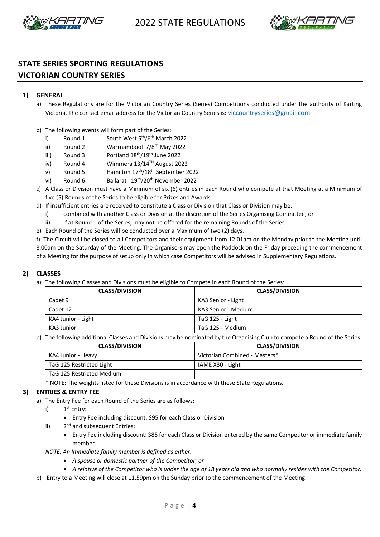



## **STATE SERIES SPORTING REGULATIONS VICTORIAN COUNTRY SERIES**

#### **1) GENERAL**

- a) These Regulations are for the Victorian Country Series (Series) Competitions conducted under the authority of Karting Victoria. The contact email address for the Victorian Country Series is: viccountryseries@gmail.com
- b) The following events will form part of the Series:
	- i) Round 1 South West  $5<sup>th</sup>/6<sup>th</sup>$  March 2022
	- ii) Round 2 Warrnambool  $7/8^{th}$  May 2022
	- iii) Round 3 Portland  $18<sup>th</sup>/19<sup>th</sup>$  June 2022
	- iv) Round 4 Wimmera 13/14<sup>TH</sup> August 2022
	- v) Round 5 Hamilton  $17<sup>th</sup>/18<sup>th</sup>$  September 2022
	- vi) Round 6 Ballarat 19<sup>th</sup>/20<sup>th</sup> November 2022
- c) A Class or Division must have a Minimum of six (6) entries in each Round who compete at that Meeting at a Minimum of five (5) Rounds of the Series to be eligible for Prizes and Awards:
- d) If insufficient entries are received to constitute a Class or Division that Class or Division may be:
	- i) combined with another Class or Division at the discretion of the Series Organising Committee; or
	- ii) if at Round 1 of the Series, may not be offered for the remaining Rounds of the Series.
- e) Each Round of the Series will be conducted over a Maximum of two (2) days.

f) The Circuit will be closed to all Competitors and their equipment from 12.01am on the Monday prior to the Meeting until 8.00am on the Saturday of the Meeting. The Organisers may open the Paddock on the Friday preceding the commencement of a Meeting for the purpose of setup only in which case Competitors will be advised in Supplementary Regulations.

#### **2) CLASSES**

a) The following Classes and Divisions must be eligible to Compete in each Round of the Series:

| <b>CLASS/DIVISION</b> | <b>CLASS/DIVISION</b> |
|-----------------------|-----------------------|
| Cadet 9               | KA3 Senior - Light    |
| Cadet 12              | KA3 Senior - Medium   |
| KA4 Junior - Light    | TaG 125 - Light       |
| KA3 Junior            | TaG 125 - Medium      |

b) The following additional Classes and Divisions may be nominated by the Organising Club to compete a Round of the Series:

| <b>CLASS/DIVISION</b>       | <b>CLASS/DIVISION</b>         |
|-----------------------------|-------------------------------|
| KA4 Junior - Heavy          | Victorian Combined - Masters* |
| TaG 125 Restricted Light    | IAME X30 - Light              |
| l TaG 125 Restricted Medium |                               |

\* NOTE: The weights listed for these Divisions is in accordance with these State Regulations.

#### **3) ENTRIES & ENTRY FEE**

- a) The Entry Fee for each Round of the Series are as follows:
	- i)  $1<sup>st</sup>$  Entry:
		- Entry Fee including discount: \$95 for each Class or Division
	- ii)  $2<sup>nd</sup>$  and subsequent Entries:
		- Entry Fee including discount: \$85 for each Class or Division entered by the same Competitor or immediate family member.

*NOTE: An Immediate family member is defined as either:*

- *A spouse or domestic partner of the Competitor; or*
- *A relative of the Competitor who is under the age of 18 years old and who normally resides with the Competitor.*
- b) Entry to a Meeting will close at 11.59pm on the Sunday prior to the commencement of the Meeting.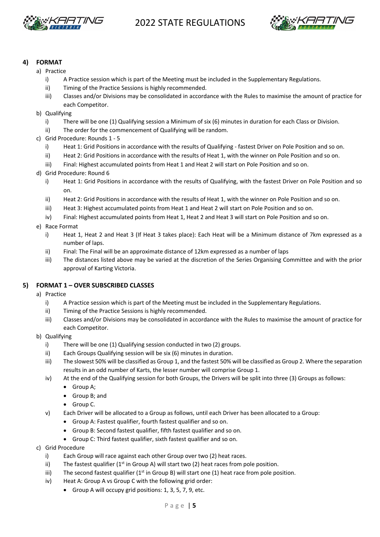



#### **4) FORMAT**

- a) Practice
	- i) A Practice session which is part of the Meeting must be included in the Supplementary Regulations.
	- ii) Timing of the Practice Sessions is highly recommended.
	- iii) Classes and/or Divisions may be consolidated in accordance with the Rules to maximise the amount of practice for each Competitor.
- b) Qualifying
	- i) There will be one (1) Qualifying session a Minimum of six (6) minutes in duration for each Class or Division.
	- ii) The order for the commencement of Qualifying will be random.
- c) Grid Procedure: Rounds 1 5
	- i) Heat 1: Grid Positions in accordance with the results of Qualifying fastest Driver on Pole Position and so on.
	- ii) Heat 2: Grid Positions in accordance with the results of Heat 1, with the winner on Pole Position and so on.
	- iii) Final: Highest accumulated points from Heat 1 and Heat 2 will start on Pole Position and so on.
- d) Grid Procedure: Round 6
	- i) Heat 1: Grid Positions in accordance with the results of Qualifying, with the fastest Driver on Pole Position and so on.
	- ii) Heat 2: Grid Positions in accordance with the results of Heat 1, with the winner on Pole Position and so on.
	- iii) Heat 3: Highest accumulated points from Heat 1 and Heat 2 will start on Pole Position and so on.
	- iv) Final: Highest accumulated points from Heat 1, Heat 2 and Heat 3 will start on Pole Position and so on.
- e) Race Format
	- i) Heat 1, Heat 2 and Heat 3 (If Heat 3 takes place): Each Heat will be a Minimum distance of 7km expressed as a number of laps.
	- ii) Final: The Final will be an approximate distance of 12km expressed as a number of laps
	- iii) The distances listed above may be varied at the discretion of the Series Organising Committee and with the prior approval of Karting Victoria.

#### **5) FORMAT 1 – OVER SUBSCRIBED CLASSES**

- a) Practice
	- i) A Practice session which is part of the Meeting must be included in the Supplementary Regulations.
	- ii) Timing of the Practice Sessions is highly recommended.
	- iii) Classes and/or Divisions may be consolidated in accordance with the Rules to maximise the amount of practice for each Competitor.
- b) Qualifying
	- i) There will be one (1) Qualifying session conducted in two (2) groups.
	- ii) Each Groups Qualifying session will be six (6) minutes in duration.
	- iii) The slowest 50% will be classified as Group 1, and the fastest 50% will be classified as Group 2. Where the separation results in an odd number of Karts, the lesser number will comprise Group 1.
	- iv) At the end of the Qualifying session for both Groups, the Drivers will be split into three (3) Groups as follows:
		- Group A;
		- Group B; and
		- Group C.
	- v) Each Driver will be allocated to a Group as follows, until each Driver has been allocated to a Group:
		- Group A: Fastest qualifier, fourth fastest qualifier and so on.
		- Group B: Second fastest qualifier, fifth fastest qualifier and so on.
		- Group C: Third fastest qualifier, sixth fastest qualifier and so on.
- c) Grid Procedure
	- i) Each Group will race against each other Group over two (2) heat races.
	- ii) The fastest qualifier  $(1<sup>st</sup>$  in Group A) will start two (2) heat races from pole position.
	- iii) The second fastest qualifier  $(1<sup>st</sup>$  in Group B) will start one  $(1)$  heat race from pole position.
	- iv) Heat A: Group A vs Group C with the following grid order:
		- Group A will occupy grid positions: 1, 3, 5, 7, 9, etc.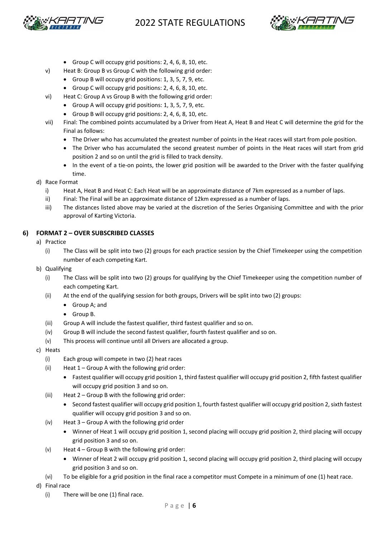



- Group C will occupy grid positions: 2, 4, 6, 8, 10, etc.
- v) Heat B: Group B vs Group C with the following grid order:
	- Group B will occupy grid positions: 1, 3, 5, 7, 9, etc.
	- Group C will occupy grid positions: 2, 4, 6, 8, 10, etc.
- vi) Heat C: Group A vs Group B with the following grid order:
	- Group A will occupy grid positions: 1, 3, 5, 7, 9, etc.
	- Group B will occupy grid positions: 2, 4, 6, 8, 10, etc.
- vii) Final: The combined points accumulated by a Driver from Heat A, Heat B and Heat C will determine the grid for the Final as follows:
	- The Driver who has accumulated the greatest number of points in the Heat races will start from pole position.
	- The Driver who has accumulated the second greatest number of points in the Heat races will start from grid position 2 and so on until the grid is filled to track density.
	- In the event of a tie-on points, the lower grid position will be awarded to the Driver with the faster qualifying time.
- d) Race Format
	- i) Heat A, Heat B and Heat C: Each Heat will be an approximate distance of 7km expressed as a number of laps.
	- ii) Final: The Final will be an approximate distance of 12km expressed as a number of laps.
	- iii) The distances listed above may be varied at the discretion of the Series Organising Committee and with the prior approval of Karting Victoria.

#### **6) FORMAT 2 – OVER SUBSCRIBED CLASSES**

- a) Practice
	- (i) The Class will be split into two (2) groups for each practice session by the Chief Timekeeper using the competition number of each competing Kart.
- b) Qualifying
	- (i) The Class will be split into two (2) groups for qualifying by the Chief Timekeeper using the competition number of each competing Kart.
	- (ii) At the end of the qualifying session for both groups, Drivers will be split into two (2) groups:
		- Group A; and
		- Group B.
	- (iii) Group A will include the fastest qualifier, third fastest qualifier and so on.
	- (iv) Group B will include the second fastest qualifier, fourth fastest qualifier and so on.
	- (v) This process will continue until all Drivers are allocated a group.
- c) Heats
	- (i) Each group will compete in two (2) heat races
	- (ii) Heat  $1 -$  Group A with the following grid order:
		- Fastest qualifier will occupy grid position 1, third fastest qualifier will occupy grid position 2, fifth fastest qualifier will occupy grid position 3 and so on.
	- (iii) Heat 2 Group B with the following grid order:
		- Second fastest qualifier will occupy grid position 1, fourth fastest qualifier will occupy grid position 2, sixth fastest qualifier will occupy grid position 3 and so on.
	- (iv) Heat 3 Group A with the following grid order
		- Winner of Heat 1 will occupy grid position 1, second placing will occupy grid position 2, third placing will occupy grid position 3 and so on.
	- (v) Heat  $4 -$  Group B with the following grid order:
		- Winner of Heat 2 will occupy grid position 1, second placing will occupy grid position 2, third placing will occupy grid position 3 and so on.
	- (vi) To be eligible for a grid position in the final race a competitor must Compete in a minimum of one (1) heat race.
- d) Final race
	- (i) There will be one (1) final race.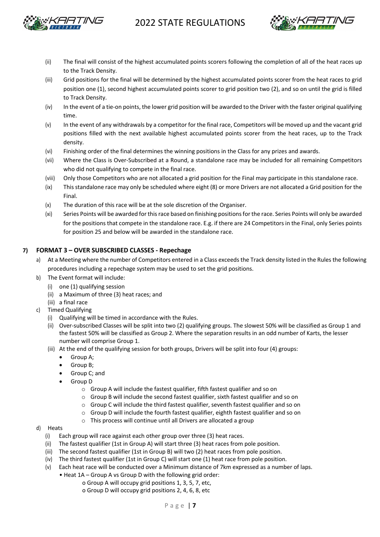



- (ii) The final will consist of the highest accumulated points scorers following the completion of all of the heat races up to the Track Density.
- (iii) Grid positions for the final will be determined by the highest accumulated points scorer from the heat races to grid position one (1), second highest accumulated points scorer to grid position two (2), and so on until the grid is filled to Track Density.
- (iv) In the event of a tie-on points, the lower grid position will be awarded to the Driver with the faster original qualifying time.
- (v) In the event of any withdrawals by a competitor for the final race, Competitors will be moved up and the vacant grid positions filled with the next available highest accumulated points scorer from the heat races, up to the Track density.
- (vi) Finishing order of the final determines the winning positions in the Class for any prizes and awards.
- (vii) Where the Class is Over-Subscribed at a Round, a standalone race may be included for all remaining Competitors who did not qualifying to compete in the final race.
- (viii) Only those Competitors who are not allocated a grid position for the Final may participate in this standalone race.
- (ix) This standalone race may only be scheduled where eight (8) or more Drivers are not allocated a Grid position for the Final.
- (x) The duration of this race will be at the sole discretion of the Organiser.
- (xi) Series Points will be awarded for this race based on finishing positions for the race. Series Points will only be awarded for the positions that compete in the standalone race. E.g. if there are 24 Competitors in the Final, only Series points for position 25 and below will be awarded in the standalone race.

#### **7) FORMAT 3 – OVER SUBSCRIBED CLASSES - Repechage**

- a) At a Meeting where the number of Competitors entered in a Class exceeds the Track density listed in the Rules the following procedures including a repechage system may be used to set the grid positions.
- b) The Event format will include:
	- (i) one (1) qualifying session
	- (ii) a Maximum of three (3) heat races; and
	- (iii) a final race
- c) Timed Qualifying
	- (i) Qualifying will be timed in accordance with the Rules.
	- (ii) Over-subscribed Classes will be split into two (2) qualifying groups. The slowest 50% will be classified as Group 1 and the fastest 50% will be classified as Group 2. Where the separation results in an odd number of Karts, the lesser number will comprise Group 1.
	- (iii) At the end of the qualifying session for both groups, Drivers will be split into four (4) groups:
		- Group A;
		- Group B;
		- Group C; and
		- Group D
			- o Group A will include the fastest qualifier, fifth fastest qualifier and so on
			- o Group B will include the second fastest qualifier, sixth fastest qualifier and so on
			- o Group C will include the third fastest qualifier, seventh fastest qualifier and so on
			- o Group D will include the fourth fastest qualifier, eighth fastest qualifier and so on
			- o This process will continue until all Drivers are allocated a group
- d) Heats
	- (i) Each group will race against each other group over three (3) heat races.
	- (ii) The fastest qualifier (1st in Group A) will start three (3) heat races from pole position.
	- (iii) The second fastest qualifier (1st in Group B) will two (2) heat races from pole position.
	- (iv) The third fastest qualifier (1st in Group C) will start one (1) heat race from pole position.
	- (v) Each heat race will be conducted over a Minimum distance of 7km expressed as a number of laps.
		- Heat 1A Group A vs Group D with the following grid order:
			- o Group A will occupy grid positions 1, 3, 5, 7, etc,
			- o Group D will occupy grid positions 2, 4, 6, 8, etc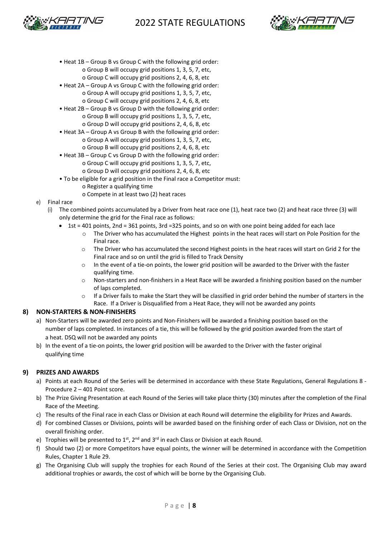



- Heat 1B Group B vs Group C with the following grid order: o Group B will occupy grid positions 1, 3, 5, 7, etc,
	- o Group C will occupy grid positions 2, 4, 6, 8, etc
- Heat 2A Group A vs Group C with the following grid order: o Group A will occupy grid positions 1, 3, 5, 7, etc, o Group C will occupy grid positions 2, 4, 6, 8, etc
- Heat 2B Group B vs Group D with the following grid order: o Group B will occupy grid positions 1, 3, 5, 7, etc,
- o Group D will occupy grid positions 2, 4, 6, 8, etc • Heat 3A – Group A vs Group B with the following grid order:
	- o Group A will occupy grid positions 1, 3, 5, 7, etc, o Group B will occupy grid positions 2, 4, 6, 8, etc
- Heat 3B Group C vs Group D with the following grid order: o Group C will occupy grid positions 1, 3, 5, 7, etc, o Group D will occupy grid positions 2, 4, 6, 8, etc
- To be eligible for a grid position in the Final race a Competitor must:
	- o Register a qualifying time
		- o Compete in at least two (2) heat races

#### e) Final race

- (i) The combined points accumulated by a Driver from heat race one (1), heat race two (2) and heat race three (3) will only determine the grid for the Final race as follows:
	- 1st = 401 points, 2nd = 361 points, 3rd = 325 points, and so on with one point being added for each lace
		- o The Driver who has accumulated the Highest points in the heat races will start on Pole Position for the Final race.
		- o The Driver who has accumulated the second Highest points in the heat races will start on Grid 2 for the Final race and so on until the grid is filled to Track Density
		- $\circ$  In the event of a tie-on points, the lower grid position will be awarded to the Driver with the faster qualifying time.
		- o Non-starters and non-finishers in a Heat Race will be awarded a finishing position based on the number of laps completed.
		- $\circ$  If a Driver fails to make the Start they will be classified in grid order behind the number of starters in the Race. If a Driver is Disqualified from a Heat Race, they will not be awarded any points

#### **8) NON-STARTERS & NON-FINISHERS**

- a) Non-Starters will be awarded zero points and Non-Finishers will be awarded a finishing position based on the number of laps completed. In instances of a tie, this will be followed by the grid position awarded from the start of a heat. DSQ will not be awarded any points
- b) In the event of a tie-on points, the lower grid position will be awarded to the Driver with the faster original qualifying time

#### **9) PRIZES AND AWARDS**

- a) Points at each Round of the Series will be determined in accordance with these State Regulations, General Regulations 8 Procedure 2 – 401 Point score.
- b) The Prize Giving Presentation at each Round of the Series will take place thirty (30) minutes after the completion of the Final Race of the Meeting.
- c) The results of the Final race in each Class or Division at each Round will determine the eligibility for Prizes and Awards.
- d) For combined Classes or Divisions, points will be awarded based on the finishing order of each Class or Division, not on the overall finishing order.
- e) Trophies will be presented to  $1^{st}$ ,  $2^{nd}$  and  $3^{rd}$  in each Class or Division at each Round.
- f) Should two (2) or more Competitors have equal points, the winner will be determined in accordance with the Competition Rules, Chapter 1 Rule 29.
- g) The Organising Club will supply the trophies for each Round of the Series at their cost. The Organising Club may award additional trophies or awards, the cost of which will be borne by the Organising Club.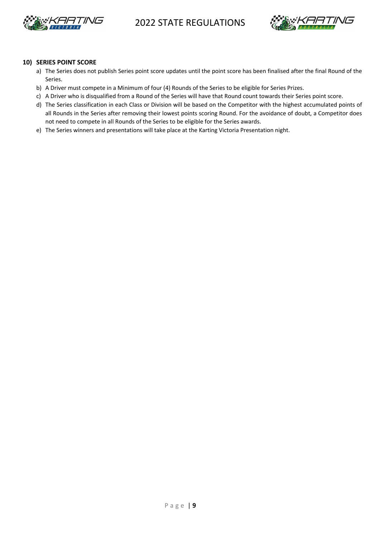



#### **10) SERIES POINT SCORE**

- a) The Series does not publish Series point score updates until the point score has been finalised after the final Round of the Series.
- b) A Driver must compete in a Minimum of four (4) Rounds of the Series to be eligible for Series Prizes.
- c) A Driver who is disqualified from a Round of the Series will have that Round count towards their Series point score.
- d) The Series classification in each Class or Division will be based on the Competitor with the highest accumulated points of all Rounds in the Series after removing their lowest points scoring Round. For the avoidance of doubt, a Competitor does not need to compete in all Rounds of the Series to be eligible for the Series awards.
- e) The Series winners and presentations will take place at the Karting Victoria Presentation night.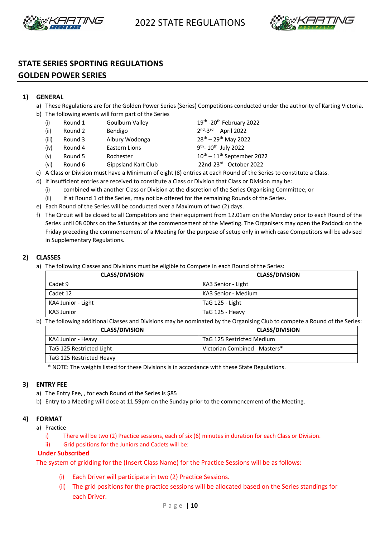



## **STATE SERIES SPORTING REGULATIONS**

## **GOLDEN POWER SERIES**

### **1) GENERAL**

- a) These Regulations are for the Golden Power Series (Series) Competitions conducted under the authority of Karting Victoria.
- b) The following events will form part of the Series
	- (i) Round 1 Goulburn Valley  $19^{th}$  -20<sup>th</sup> February 2022
	- (ii) Round 2 Bendigo  $2<sup>nd</sup>-3<sup>rd</sup>$  April 2022
	- (iii) Round 3 Albury Wodonga  $28^{th} 29^{th}$  May 2022
	- (iv) Round 4 Eastern Lions  $9^{th}$   $10^{th}$  July 2022
	- (v) Round 5 Rochester  $10^{th} 11^{th}$  September 2022
	- (vi) Round 6 Gippsland Kart Club 22nd-23rd October 2022

c) A Class or Division must have a Minimum of eight (8) entries at each Round of the Series to constitute a Class.

- d) If insufficient entries are received to constitute a Class or Division that Class or Division may be:
	- (i) combined with another Class or Division at the discretion of the Series Organising Committee; or
	- (ii) If at Round 1 of the Series, may not be offered for the remaining Rounds of the Series.
- e) Each Round of the Series will be conducted over a Maximum of two (2) days.
- f) The Circuit will be closed to all Competitors and their equipment from 12.01am on the Monday prior to each Round of the Series until 08 00hrs on the Saturday at the commencement of the Meeting. The Organisers may open the Paddock on the Friday preceding the commencement of a Meeting for the purpose of setup only in which case Competitors will be advised in Supplementary Regulations.

#### **2) CLASSES**

a) The following Classes and Divisions must be eligible to Compete in each Round of the Series:

| <b>CLASS/DIVISION</b> | <b>CLASS/DIVISION</b> |
|-----------------------|-----------------------|
| Cadet 9               | KA3 Senior - Light    |
| Cadet 12              | KA3 Senior - Medium   |
| KA4 Junior - Light    | TaG 125 - Light       |
| KA3 Junior            | TaG 125 - Heavy       |

b) The following additional Classes and Divisions may be nominated by the Organising Club to compete a Round of the Series:

| <b>CLASS/DIVISION</b>    | <b>CLASS/DIVISION</b>         |
|--------------------------|-------------------------------|
| KA4 Junior - Heavy       | TaG 125 Restricted Medium     |
| TaG 125 Restricted Light | Victorian Combined - Masters* |
| TaG 125 Restricted Heavy |                               |

\* NOTE: The weights listed for these Divisions is in accordance with these State Regulations.

#### **3) ENTRY FEE**

- a) The Entry Fee, , for each Round of the Series is \$85
- b) Entry to a Meeting will close at 11.59pm on the Sunday prior to the commencement of the Meeting.

#### **4) FORMAT**

- a) Practice
	- i) There will be two (2) Practice sessions, each of six (6) minutes in duration for each Class or Division.
	- ii) Grid positions for the Juniors and Cadets will be:

#### **Under Subscribed**

The system of gridding for the (Insert Class Name) for the Practice Sessions will be as follows:

- Each Driver will participate in two (2) Practice Sessions.
- (ii) The grid positions for the practice sessions will be allocated based on the Series standings for each Driver.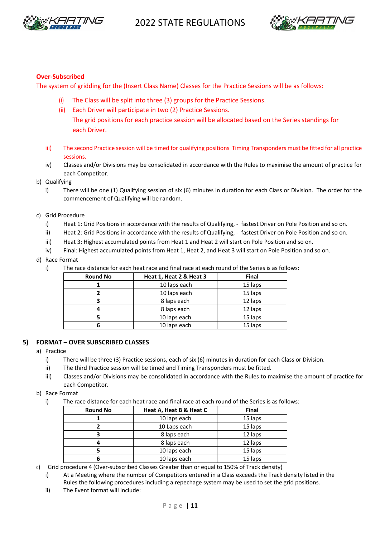



#### **Over-Subscribed**

The system of gridding for the (Insert Class Name) Classes for the Practice Sessions will be as follows:

- (i) The Class will be split into three (3) groups for the Practice Sessions.
- (ii) Each Driver will participate in two (2) Practice Sessions.

The grid positions for each practice session will be allocated based on the Series standings for each Driver.

- iii) The second Practice session will be timed for qualifying positions Timing Transponders must be fitted for all practice sessions.
- iv) Classes and/or Divisions may be consolidated in accordance with the Rules to maximise the amount of practice for each Competitor.
- b) Qualifying
	- i) There will be one (1) Qualifying session of six (6) minutes in duration for each Class or Division. The order for the commencement of Qualifying will be random.
- c) Grid Procedure
	- i) Heat 1: Grid Positions in accordance with the results of Qualifying, fastest Driver on Pole Position and so on.
	- ii) Heat 2: Grid Positions in accordance with the results of Qualifying, fastest Driver on Pole Position and so on.
	- iii) Heat 3: Highest accumulated points from Heat 1 and Heat 2 will start on Pole Position and so on.
	- iv) Final: Highest accumulated points from Heat 1, Heat 2, and Heat 3 will start on Pole Position and so on.

#### d) Race Format

i) The race distance for each heat race and final race at each round of the Series is as follows:

| <b>Round No</b> | Heat 1, Heat 2 & Heat 3 | <b>Final</b> |
|-----------------|-------------------------|--------------|
|                 | 10 laps each            | 15 laps      |
|                 | 10 laps each            | 15 laps      |
|                 | 8 laps each             | 12 laps      |
|                 | 8 laps each             | 12 laps      |
|                 | 10 laps each            | 15 laps      |
|                 | 10 laps each            | 15 laps      |

#### **5) FORMAT – OVER SUBSCRIBED CLASSES**

- a) Practice
	- i) There will be three (3) Practice sessions, each of six (6) minutes in duration for each Class or Division.
	- ii) The third Practice session will be timed and Timing Transponders must be fitted.
	- iii) Classes and/or Divisions may be consolidated in accordance with the Rules to maximise the amount of practice for each Competitor.
- b) Race Format
	- i) The race distance for each heat race and final race at each round of the Series is as follows:

| <b>Round No</b> | Heat A, Heat B & Heat C | <b>Final</b> |
|-----------------|-------------------------|--------------|
|                 | 10 laps each            | 15 laps      |
|                 | 10 Laps each            | 15 laps      |
|                 | 8 laps each             | 12 laps      |
|                 | 8 laps each             | 12 laps      |
|                 | 10 laps each            | 15 laps      |
|                 | 10 laps each            | 15 laps      |

- c) Grid procedure 4 (Over-subscribed Classes Greater than or equal to 150% of Track density)
	- i) At a Meeting where the number of Competitors entered in a Class exceeds the Track density listed in the Rules the following procedures including a repechage system may be used to set the grid positions.
	- ii) The Event format will include: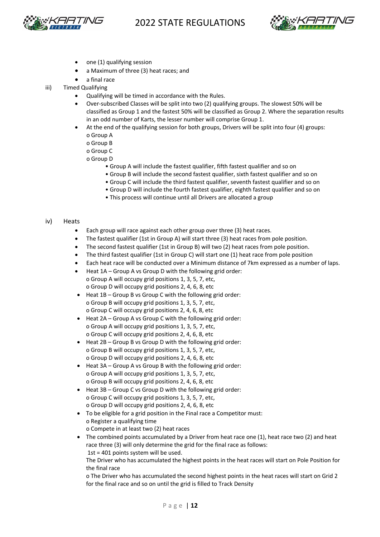



- one (1) qualifying session
- a Maximum of three (3) heat races; and
- a final race
- iii) Timed Qualifying
	- Qualifying will be timed in accordance with the Rules.
	- Over-subscribed Classes will be split into two (2) qualifying groups. The slowest 50% will be classified as Group 1 and the fastest 50% will be classified as Group 2. Where the separation results in an odd number of Karts, the lesser number will comprise Group 1.
	- At the end of the qualifying session for both groups, Drivers will be split into four (4) groups: o Group A
		- o Group B
		- o Group C
		- o Group D
			- Group A will include the fastest qualifier, fifth fastest qualifier and so on
			- Group B will include the second fastest qualifier, sixth fastest qualifier and so on
			- Group C will include the third fastest qualifier, seventh fastest qualifier and so on
			- Group D will include the fourth fastest qualifier, eighth fastest qualifier and so on
			- This process will continue until all Drivers are allocated a group

#### iv) Heats

- Each group will race against each other group over three (3) heat races.
- The fastest qualifier (1st in Group A) will start three (3) heat races from pole position.
- The second fastest qualifier (1st in Group B) will two (2) heat races from pole position.
- The third fastest qualifier (1st in Group C) will start one (1) heat race from pole position
- Each heat race will be conducted over a Minimum distance of 7km expressed as a number of laps.
- Heat 1A Group A vs Group D with the following grid order: o Group A will occupy grid positions 1, 3, 5, 7, etc, o Group D will occupy grid positions 2, 4, 6, 8, etc
- Heat 1B Group B vs Group C with the following grid order: o Group B will occupy grid positions 1, 3, 5, 7, etc, o Group C will occupy grid positions 2, 4, 6, 8, etc
- Heat 2A Group A vs Group C with the following grid order: o Group A will occupy grid positions 1, 3, 5, 7, etc, o Group C will occupy grid positions 2, 4, 6, 8, etc
- Heat 2B Group B vs Group D with the following grid order: o Group B will occupy grid positions 1, 3, 5, 7, etc, o Group D will occupy grid positions 2, 4, 6, 8, etc
- Heat 3A Group A vs Group B with the following grid order: o Group A will occupy grid positions 1, 3, 5, 7, etc, o Group B will occupy grid positions 2, 4, 6, 8, etc
- Heat 3B Group C vs Group D with the following grid order: o Group C will occupy grid positions 1, 3, 5, 7, etc, o Group D will occupy grid positions 2, 4, 6, 8, etc
- To be eligible for a grid position in the Final race a Competitor must: o Register a qualifying time o Compete in at least two (2) heat races
- The combined points accumulated by a Driver from heat race one (1), heat race two (2) and heat race three (3) will only determine the grid for the final race as follows: 1st = 401 points system will be used.

The Driver who has accumulated the highest points in the heat races will start on Pole Position for the final race

o The Driver who has accumulated the second highest points in the heat races will start on Grid 2 for the final race and so on until the grid is filled to Track Density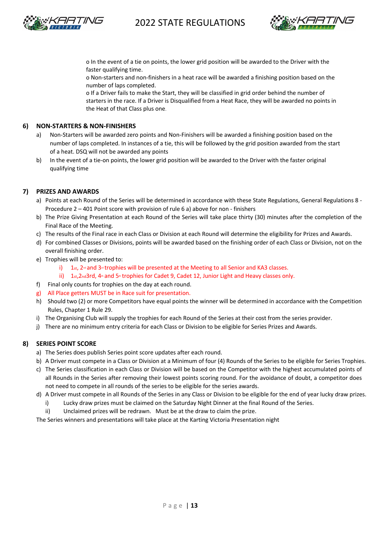



o In the event of a tie on points, the lower grid position will be awarded to the Driver with the faster qualifying time.

o Non-starters and non-finishers in a heat race will be awarded a finishing position based on the number of laps completed.

o If a Driver fails to make the Start, they will be classified in grid order behind the number of starters in the race. If a Driver is Disqualified from a Heat Race, they will be awarded no points in the Heat of that Class plus one.

#### **6) NON-STARTERS & NON-FINISHERS**

- a) Non-Starters will be awarded zero points and Non-Finishers will be awarded a finishing position based on the number of laps completed. In instances of a tie, this will be followed by the grid position awarded from the start of a heat. DSQ will not be awarded any points
- b) In the event of a tie-on points, the lower grid position will be awarded to the Driver with the faster original qualifying time

#### **7) PRIZES AND AWARDS**

- a) Points at each Round of the Series will be determined in accordance with these State Regulations, General Regulations 8 Procedure 2 – 401 Point score with provision of rule 6 a) above for non - finishers
- b) The Prize Giving Presentation at each Round of the Series will take place thirty (30) minutes after the completion of the Final Race of the Meeting.
- c) The results of the Final race in each Class or Division at each Round will determine the eligibility for Prizes and Awards.
- d) For combined Classes or Divisions, points will be awarded based on the finishing order of each Class or Division, not on the overall finishing order.
- e) Trophies will be presented to:
	- i)  $1$ st,  $2<sup>nd</sup>$  and  $3<sup>nd</sup>$  trophies will be presented at the Meeting to all Senior and KA3 classes.
	- ii)  $1st,2nd3rd$ ,  $4*$  and  $5*$  trophies for Cadet 9, Cadet 12, Junior Light and Heavy classes only.
- f) Final only counts for trophies on the day at each round.
- g) All Place getters MUST be in Race suit for presentation.
- h) Should two (2) or more Competitors have equal points the winner will be determined in accordance with the Competition Rules, Chapter 1 Rule 29.
- i) The Organising Club will supply the trophies for each Round of the Series at their cost from the series provider.
- j) There are no minimum entry criteria for each Class or Division to be eligible for Series Prizes and Awards.

#### **8) SERIES POINT SCORE**

- a) The Series does publish Series point score updates after each round.
- b) A Driver must compete in a Class or Division at a Minimum of four (4) Rounds of the Series to be eligible for Series Trophies.
- c) The Series classification in each Class or Division will be based on the Competitor with the highest accumulated points of all Rounds in the Series after removing their lowest points scoring round. For the avoidance of doubt, a competitor does not need to compete in all rounds of the series to be eligible for the series awards.
- d) A Driver must compete in all Rounds of the Series in any Class or Division to be eligible for the end of year lucky draw prizes.
	- i) Lucky draw prizes must be claimed on the Saturday Night Dinner at the final Round of the Series.
	- ii) Unclaimed prizes will be redrawn. Must be at the draw to claim the prize.

The Series winners and presentations will take place at the Karting Victoria Presentation night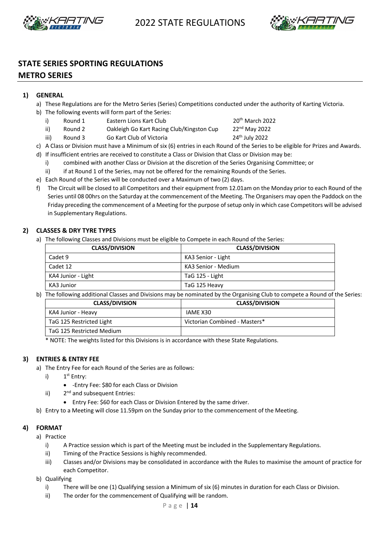



## **STATE SERIES SPORTING REGULATIONS**

#### **METRO SERIES**

- **1) GENERAL**
	- a) These Regulations are for the Metro Series (Series) Competitions conducted under the authority of Karting Victoria.
	- b) The following events will form part of the Series:
		- i) Round 1 Eastern Lions Kart Club 20th March 2022
		- ii) Round 2 Oakleigh Go Kart Racing Club/Kingston Cup 22<sup>nd</sup> May 2022
		- iii) Round 3 Go Kart Club of Victoria 24<sup>th</sup> July 2022

- c) A Class or Division must have a Minimum of six (6) entries in each Round of the Series to be eligible for Prizes and Awards.
- d) If insufficient entries are received to constitute a Class or Division that Class or Division may be:
	- i) combined with another Class or Division at the discretion of the Series Organising Committee; or
	- ii) if at Round 1 of the Series, may not be offered for the remaining Rounds of the Series.
- e) Each Round of the Series will be conducted over a Maximum of two (2) days.
- f) The Circuit will be closed to all Competitors and their equipment from 12.01am on the Monday prior to each Round of the Series until 08 00hrs on the Saturday at the commencement of the Meeting. The Organisers may open the Paddock on the Friday preceding the commencement of a Meeting for the purpose of setup only in which case Competitors will be advised in Supplementary Regulations.

#### **2) CLASSES & DRY TYRE TYPES**

a) The following Classes and Divisions must be eligible to Compete in each Round of the Series:

| <b>CLASS/DIVISION</b> | <b>CLASS/DIVISION</b> |
|-----------------------|-----------------------|
| Cadet 9               | KA3 Senior - Light    |
| Cadet 12              | KA3 Senior - Medium   |
| KA4 Junior - Light    | TaG 125 - Light       |
| KA3 Junior            | TaG 125 Heavy         |

b) The following additional Classes and Divisions may be nominated by the Organising Club to compete a Round of the Series:

| <b>CLASS/DIVISION</b>     | <b>CLASS/DIVISION</b>         |
|---------------------------|-------------------------------|
| KA4 Junior - Heavy        | IAME X30                      |
| TaG 125 Restricted Light  | Victorian Combined - Masters* |
| TaG 125 Restricted Medium |                               |

\* NOTE: The weights listed for this Divisions is in accordance with these State Regulations.

#### **3) ENTRIES & ENTRY FEE**

- a) The Entry Fee for each Round of the Series are as follows:
	- i)  $1<sup>st</sup>$  Entry:
		- -Entry Fee: \$80 for each Class or Division
	- ii)  $2<sup>nd</sup>$  and subsequent Entries:
		- Entry Fee: \$60 for each Class or Division Entered by the same driver.
- b) Entry to a Meeting will close 11.59pm on the Sunday prior to the commencement of the Meeting.

#### **4) FORMAT**

- a) Practice
	- i) A Practice session which is part of the Meeting must be included in the Supplementary Regulations.
	- ii) Timing of the Practice Sessions is highly recommended.
	- iii) Classes and/or Divisions may be consolidated in accordance with the Rules to maximise the amount of practice for each Competitor.

b) Qualifying

- i) There will be one (1) Qualifying session a Minimum of six (6) minutes in duration for each Class or Division.
- ii) The order for the commencement of Qualifying will be random.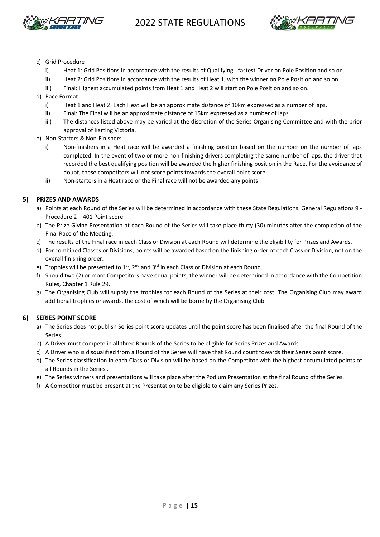



- c) Grid Procedure
	- i) Heat 1: Grid Positions in accordance with the results of Qualifying fastest Driver on Pole Position and so on.
	- ii) Heat 2: Grid Positions in accordance with the results of Heat 1, with the winner on Pole Position and so on.
	- iii) Final: Highest accumulated points from Heat 1 and Heat 2 will start on Pole Position and so on.
- d) Race Format
	- i) Heat 1 and Heat 2: Each Heat will be an approximate distance of 10km expressed as a number of laps.
	- ii) Final: The Final will be an approximate distance of 15km expressed as a number of laps
	- iii) The distances listed above may be varied at the discretion of the Series Organising Committee and with the prior approval of Karting Victoria.
- e) Non-Starters & Non-Finishers
	- i) Non-finishers in a Heat race will be awarded a finishing position based on the number on the number of laps completed. In the event of two or more non-finishing drivers completing the same number of laps, the driver that recorded the best qualifying position will be awarded the higher finishing position in the Race. For the avoidance of doubt, these competitors will not score points towards the overall point score.
	- ii) Non-starters in a Heat race or the Final race will not be awarded any points

#### **5) PRIZES AND AWARDS**

- a) Points at each Round of the Series will be determined in accordance with these State Regulations, General Regulations 9 -Procedure 2 – 401 Point score.
- b) The Prize Giving Presentation at each Round of the Series will take place thirty (30) minutes after the completion of the Final Race of the Meeting.
- c) The results of the Final race in each Class or Division at each Round will determine the eligibility for Prizes and Awards.
- d) For combined Classes or Divisions, points will be awarded based on the finishing order of each Class or Division, not on the overall finishing order.
- e) Trophies will be presented to  $1^{st}$ ,  $2^{nd}$  and  $3^{rd}$  in each Class or Division at each Round.
- f) Should two (2) or more Competitors have equal points, the winner will be determined in accordance with the Competition Rules, Chapter 1 Rule 29.
- g) The Organising Club will supply the trophies for each Round of the Series at their cost. The Organising Club may award additional trophies or awards, the cost of which will be borne by the Organising Club.

#### **6) SERIES POINT SCORE**

- a) The Series does not publish Series point score updates until the point score has been finalised after the final Round of the Series.
- b) A Driver must compete in all three Rounds of the Series to be eligible for Series Prizes and Awards.
- c) A Driver who is disqualified from a Round of the Series will have that Round count towards their Series point score.
- d) The Series classification in each Class or Division will be based on the Competitor with the highest accumulated points of all Rounds in the Series .
- e) The Series winners and presentations will take place after the Podium Presentation at the final Round of the Series.
- f) A Competitor must be present at the Presentation to be eligible to claim any Series Prizes.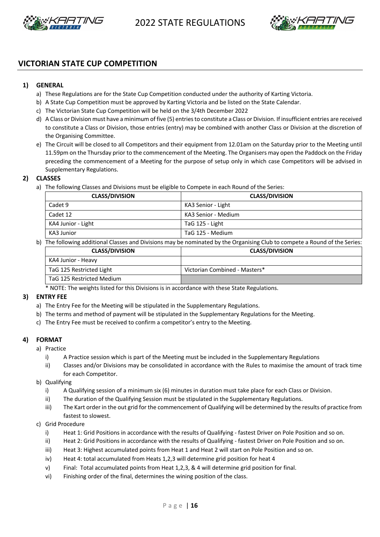



#### **VICTORIAN STATE CUP COMPETITION**

#### **1) GENERAL**

- a) These Regulations are for the State Cup Competition conducted under the authority of Karting Victoria.
- b) A State Cup Competition must be approved by Karting Victoria and be listed on the State Calendar.
- c) The Victorian State Cup Competition will be held on the 3/4th December 2022
- d) A Class or Division must have a minimum of five (5) entries to constitute a Class or Division. If insufficient entries are received to constitute a Class or Division, those entries (entry) may be combined with another Class or Division at the discretion of the Organising Committee.
- e) The Circuit will be closed to all Competitors and their equipment from 12.01am on the Saturday prior to the Meeting until 11.59pm on the Thursday prior to the commencement of the Meeting. The Organisers may open the Paddock on the Friday preceding the commencement of a Meeting for the purpose of setup only in which case Competitors will be advised in Supplementary Regulations.

#### **2) CLASSES**

a) The following Classes and Divisions must be eligible to Compete in each Round of the Series:

| <b>CLASS/DIVISION</b> | <b>CLASS/DIVISION</b> |
|-----------------------|-----------------------|
| Cadet 9               | KA3 Senior - Light    |
| Cadet 12              | KA3 Senior - Medium   |
| KA4 Junior - Light    | TaG 125 - Light       |
| KA3 Junior            | TaG 125 - Medium      |

b) The following additional Classes and Divisions may be nominated by the Organising Club to compete a Round of the Series:

| <b>CLASS/DIVISION</b>     | <b>CLASS/DIVISION</b>         |
|---------------------------|-------------------------------|
| KA4 Junior - Heavy        |                               |
| TaG 125 Restricted Light  | Victorian Combined - Masters* |
| TaG 125 Restricted Medium |                               |

NOTE: The weights listed for this Divisions is in accordance with these State Regulations.

#### **3) ENTRY FEE**

- a) The Entry Fee for the Meeting will be stipulated in the Supplementary Regulations.
- b) The terms and method of payment will be stipulated in the Supplementary Regulations for the Meeting.
- c) The Entry Fee must be received to confirm a competitor's entry to the Meeting.

#### **4) FORMAT**

- a) Practice
	- i) A Practice session which is part of the Meeting must be included in the Supplementary Regulations
	- ii) Classes and/or Divisions may be consolidated in accordance with the Rules to maximise the amount of track time for each Competitor.
- b) Qualifying
	- i) A Qualifying session of a minimum six (6) minutes in duration must take place for each Class or Division.
	- ii) The duration of the Qualifying Session must be stipulated in the Supplementary Regulations.
	- iii) The Kart order in the out grid for the commencement of Qualifying will be determined by the results of practice from fastest to slowest.
- c) Grid Procedure
	- i) Heat 1: Grid Positions in accordance with the results of Qualifying fastest Driver on Pole Position and so on.
	- ii) Heat 2: Grid Positions in accordance with the results of Qualifying fastest Driver on Pole Position and so on.
	- iii) Heat 3: Highest accumulated points from Heat 1 and Heat 2 will start on Pole Position and so on.
	- iv) Heat 4: total accumulated from Heats 1,2,3 will determine grid position for heat 4
	- v) Final: Total accumulated points from Heat 1,2,3, & 4 will determine grid position for final.
	- vi) Finishing order of the final, determines the wining position of the class.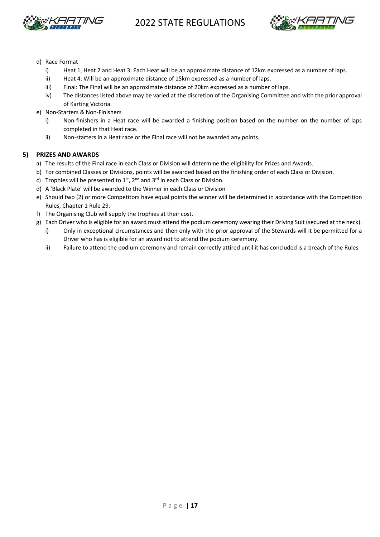



- d) Race Format
	- i) Heat 1, Heat 2 and Heat 3: Each Heat will be an approximate distance of 12km expressed as a number of laps.
	- ii) Heat 4: Will be an approximate distance of 15km expressed as a number of laps.
	- iii) Final: The Final will be an approximate distance of 20km expressed as a number of laps.
	- iv) The distances listed above may be varied at the discretion of the Organising Committee and with the prior approval of Karting Victoria.
- e) Non-Starters & Non-Finishers
	- i) Non-finishers in a Heat race will be awarded a finishing position based on the number on the number of laps completed in that Heat race.
	- ii) Non-starters in a Heat race or the Final race will not be awarded any points.

#### **5) PRIZES AND AWARDS**

- a) The results of the Final race in each Class or Division will determine the eligibility for Prizes and Awards.
- b) For combined Classes or Divisions, points will be awarded based on the finishing order of each Class or Division.
- c) Trophies will be presented to  $1^{st}$ ,  $2^{nd}$  and  $3^{rd}$  in each Class or Division.
- d) A 'Black Plate' will be awarded to the Winner in each Class or Division
- e) Should two (2) or more Competitors have equal points the winner will be determined in accordance with the Competition Rules, Chapter 1 Rule 29.
- f) The Organising Club will supply the trophies at their cost.
- g) Each Driver who is eligible for an award must attend the podium ceremony wearing their Driving Suit (secured at the neck).
	- i) Only in exceptional circumstances and then only with the prior approval of the Stewards will it be permitted for a Driver who has is eligible for an award not to attend the podium ceremony.
	- ii) Failure to attend the podium ceremony and remain correctly attired until it has concluded is a breach of the Rules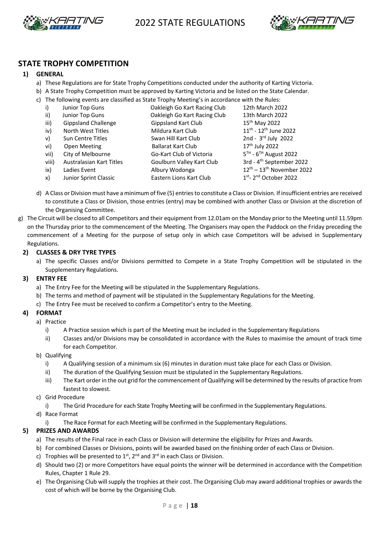



#### **STATE TROPHY COMPETITION**

#### **1) GENERAL**

- a) These Regulations are for State Trophy Competitions conducted under the authority of Karting Victoria.
- b) A State Trophy Competition must be approved by Karting Victoria and be listed on the State Calendar.
- c) The following events are classified as State Trophy Meeting's in accordance with the Rules:

| i)           | Junior Top Guns            | Oakleigh Go Kart Racing Club | 12th March 2022                                 |
|--------------|----------------------------|------------------------------|-------------------------------------------------|
| ii)          | Junior Top Guns            | Oakleigh Go Kart Racing Club | 13th March 2022                                 |
| iii)         | <b>Gippsland Challenge</b> | <b>Gippsland Kart Club</b>   | 15 <sup>th</sup> May 2022                       |
| iv)          | North West Titles          | Mildura Kart Club            | $11^{th}$ - $12^{th}$ June 2022                 |
| $\mathsf{v}$ | Sun Centre Titles          | Swan Hill Kart Club          | 2nd - $3rd$ July 2022                           |
| vi)          | Open Meeting               | <b>Ballarat Kart Club</b>    | 17 <sup>th</sup> July 2022                      |
| vii)         | City of Melbourne          | Go-Kart Club of Victoria     | $5^{TH}$ - $6^{TH}$ August 2022                 |
| viii)        | Australasian Kart Titles   | Goulburn Valley Kart Club    | 3rd - 4 <sup>th</sup> September 2022            |
| ix)          | Ladies Event               | Albury Wodonga               | $12^{\text{th}} - 13^{\text{th}}$ November 2022 |
| x)           | Junior Sprint Classic      | Eastern Lions Kart Club      | 1st-2nd October 2022                            |

- d) A Class or Division must have a minimum of five (5) entries to constitute a Class or Division. If insufficient entries are received to constitute a Class or Division, those entries (entry) may be combined with another Class or Division at the discretion of the Organising Committee.
- g) The Circuit will be closed to all Competitors and their equipment from 12.01am on the Monday prior to the Meeting until 11.59pm on the Thursday prior to the commencement of the Meeting. The Organisers may open the Paddock on the Friday preceding the commencement of a Meeting for the purpose of setup only in which case Competitors will be advised in Supplementary Regulations.

#### **2) CLASSES & DRY TYRE TYPES**

a) The specific Classes and/or Divisions permitted to Compete in a State Trophy Competition will be stipulated in the Supplementary Regulations.

#### **3) ENTRY FEE**

- a) The Entry Fee for the Meeting will be stipulated in the Supplementary Regulations.
- b) The terms and method of payment will be stipulated in the Supplementary Regulations for the Meeting.
- c) The Entry Fee must be received to confirm a Competitor's entry to the Meeting.

#### **4) FORMAT**

- a) Practice
	- i) A Practice session which is part of the Meeting must be included in the Supplementary Regulations
	- ii) Classes and/or Divisions may be consolidated in accordance with the Rules to maximise the amount of track time for each Competitor.
- b) Qualifying
	- i) A Qualifying session of a minimum six (6) minutes in duration must take place for each Class or Division.
	- ii) The duration of the Qualifying Session must be stipulated in the Supplementary Regulations.
	- iii) The Kart order in the out grid for the commencement of Qualifying will be determined by the results of practice from fastest to slowest.
- c) Grid Procedure
	- i) The Grid Procedure for each State Trophy Meeting will be confirmed in the Supplementary Regulations.
- d) Race Format
	- i) The Race Format for each Meeting will be confirmed in the Supplementary Regulations.

#### **5) PRIZES AND AWARDS**

- a) The results of the Final race in each Class or Division will determine the eligibility for Prizes and Awards.
- b) For combined Classes or Divisions, points will be awarded based on the finishing order of each Class or Division.
- c) Trophies will be presented to  $1<sup>st</sup>$ ,  $2<sup>nd</sup>$  and  $3<sup>rd</sup>$  in each Class or Division.
- d) Should two (2) or more Competitors have equal points the winner will be determined in accordance with the Competition Rules, Chapter 1 Rule 29.
- e) The Organising Club will supply the trophies at their cost. The Organising Club may award additional trophies or awards the cost of which will be borne by the Organising Club.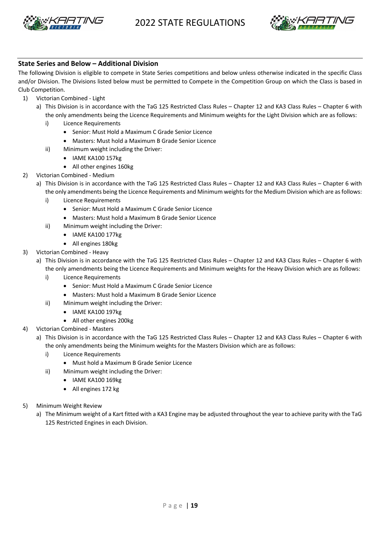



#### **State Series and Below – Additional Division**

The following Division is eligible to compete in State Series competitions and below unless otherwise indicated in the specific Class and/or Division. The Divisions listed below must be permitted to Compete in the Competition Group on which the Class is based in Club Competition.

- 1) Victorian Combined Light
	- a) This Division is in accordance with the TaG 125 Restricted Class Rules Chapter 12 and KA3 Class Rules Chapter 6 with the only amendments being the Licence Requirements and Minimum weights for the Light Division which are as follows:
		- i) Licence Requirements
			- Senior: Must Hold a Maximum C Grade Senior Licence
			- Masters: Must hold a Maximum B Grade Senior Licence
		- ii) Minimum weight including the Driver:
			- IAME KA100 157kg
			- All other engines 160kg
- 2) Victorian Combined Medium
	- a) This Division is in accordance with the TaG 125 Restricted Class Rules Chapter 12 and KA3 Class Rules Chapter 6 with the only amendments being the Licence Requirements and Minimum weights for the Medium Division which are as follows:
		- i) Licence Requirements
			- Senior: Must Hold a Maximum C Grade Senior Licence
			- Masters: Must hold a Maximum B Grade Senior Licence
		- ii) Minimum weight including the Driver:
			- IAME KA100 177kg
			- All engines 180kg
- 3) Victorian Combined Heavy
	- a) This Division is in accordance with the TaG 125 Restricted Class Rules Chapter 12 and KA3 Class Rules Chapter 6 with the only amendments being the Licence Requirements and Minimum weights for the Heavy Division which are as follows:
		- i) Licence Requirements
			- Senior: Must Hold a Maximum C Grade Senior Licence
			- Masters: Must hold a Maximum B Grade Senior Licence
		- ii) Minimum weight including the Driver:
			- IAME KA100 197kg
			- All other engines 200kg
- 4) Victorian Combined Masters
	- a) This Division is in accordance with the TaG 125 Restricted Class Rules Chapter 12 and KA3 Class Rules Chapter 6 with the only amendments being the Minimum weights for the Masters Division which are as follows:
		- i) Licence Requirements
			- Must hold a Maximum B Grade Senior Licence
		- ii) Minimum weight including the Driver:
			- IAME KA100 169kg
			- All engines 172 kg
- 5) Minimum Weight Review
	- a) The Minimum weight of a Kart fitted with a KA3 Engine may be adjusted throughout the year to achieve parity with the TaG 125 Restricted Engines in each Division.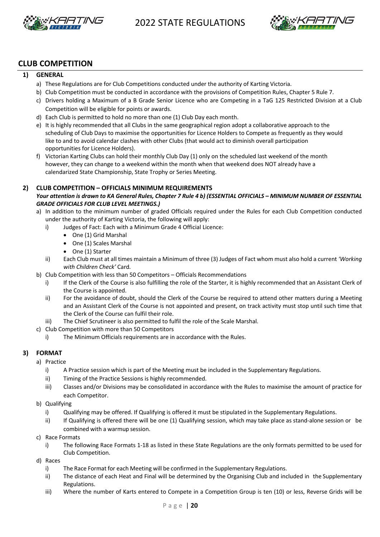



#### **CLUB COMPETITION**

#### **1) GENERAL**

- a) These Regulations are for Club Competitions conducted under the authority of Karting Victoria.
- b) Club Competition must be conducted in accordance with the provisions of Competition Rules, Chapter 5 Rule 7.
- c) Drivers holding a Maximum of a B Grade Senior Licence who are Competing in a TaG 125 Restricted Division at a Club Competition will be eligible for points or awards.
- d) Each Club is permitted to hold no more than one (1) Club Day each month.
- e) It is highly recommended that all Clubs in the same geographical region adopt a collaborative approach to the scheduling of Club Days to maximise the opportunities for Licence Holders to Compete as frequently as they would like to and to avoid calendar clashes with other Clubs (that would act to diminish overall participation opportunities for Licence Holders).
- f) Victorian Karting Clubs can hold their monthly Club Day (1) only on the scheduled last weekend of the month however, they can change to a weekend within the month when that weekend does NOT already have a calendarized State Championship, State Trophy or Series Meeting.

#### **2) CLUB COMPETITION – OFFICIALS MINIMUM REQUIREMENTS**

#### *Your attention is drawn to KA General Rules, Chapter 7 Rule 4 b) (ESSENTIAL OFFICIALS – MINIMUM NUMBER OF ESSENTIAL GRADE OFFICIALS FOR CLUB LEVEL MEETINGS.)*

- a) In addition to the minimum number of graded Officials required under the Rules for each Club Competition conducted under the authority of Karting Victoria, the following will apply:
	- i) Judges of Fact: Each with a Minimum Grade 4 Official Licence:
		- One (1) Grid Marshal
		- One (1) Scales Marshal
		- One (1) Starter
	- ii) Each Club must at all times maintain a Minimum of three (3) Judges of Fact whom must also hold a current *'Working with Children Check'* Card*.*
- b) Club Competition with less than 50 Competitors Officials Recommendations
	- i) If the Clerk of the Course is also fulfilling the role of the Starter, it is highly recommended that an Assistant Clerk of the Course is appointed.
	- ii) For the avoidance of doubt, should the Clerk of the Course be required to attend other matters during a Meeting and an Assistant Clerk of the Course is not appointed and present, on track activity must stop until such time that the Clerk of the Course can fulfil their role.
	- iii) The Chief Scrutineer is also permitted to fulfil the role of the Scale Marshal.
- c) Club Competition with more than 50 Competitors
	- i) The Minimum Officials requirements are in accordance with the Rules.

#### **3) FORMAT**

- a) Practice
	- i) A Practice session which is part of the Meeting must be included in the Supplementary Regulations.
	- ii) Timing of the Practice Sessions is highly recommended.
	- iii) Classes and/or Divisions may be consolidated in accordance with the Rules to maximise the amount of practice for each Competitor.
- b) Qualifying
	- i) Qualifying may be offered. If Qualifying is offered it must be stipulated in the Supplementary Regulations.
	- ii) If Qualifying is offered there will be one (1) Qualifying session, which may take place as stand-alone session or be combined with a warmup session.
- c) Race Formats
	- i) The following Race Formats 1-18 as listed in these State Regulations are the only formats permitted to be used for Club Competition.
- d) Races
	- i) The Race Format for each Meeting will be confirmed in the Supplementary Regulations.
	- ii) The distance of each Heat and Final will be determined by the Organising Club and included in the Supplementary Regulations.
	- iii) Where the number of Karts entered to Compete in a Competition Group is ten (10) or less, Reverse Grids will be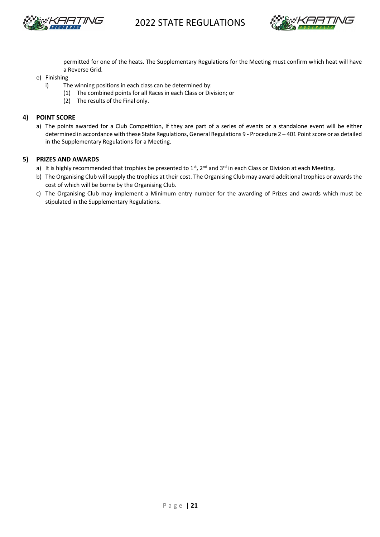



permitted for one of the heats. The Supplementary Regulations for the Meeting must confirm which heat will have a Reverse Grid.

#### e) Finishing

- i) The winning positions in each class can be determined by:
	- (1) The combined points for all Racesin each Class or Division; or
	- (2) The results of the Final only.

#### **4) POINT SCORE**

a) The points awarded for a Club Competition, if they are part of a series of events or a standalone event will be either determined in accordance with these State Regulations, General Regulations 9 - Procedure 2 – 401 Point score or as detailed in the Supplementary Regulations for a Meeting.

#### **5) PRIZES AND AWARDS**

- a) It is highly recommended that trophies be presented to  $1^{st}$ ,  $2^{nd}$  and  $3^{rd}$  in each Class or Division at each Meeting.
- b) The Organising Club will supply the trophies at their cost. The Organising Club may award additional trophies or awards the cost of which will be borne by the Organising Club.
- c) The Organising Club may implement a Minimum entry number for the awarding of Prizes and awards which must be stipulated in the Supplementary Regulations.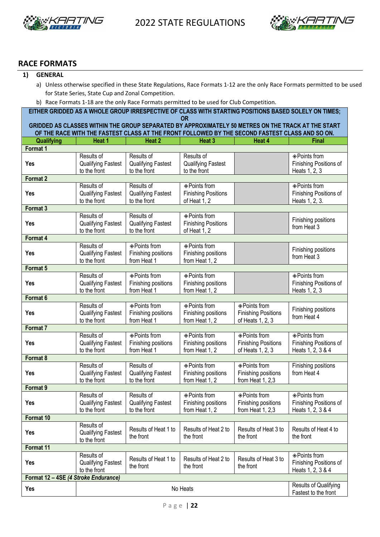



#### **RACE FORMATS**

#### **1) GENERAL**

- a) Unless otherwise specified in these State Regulations, Race Formats 1-12 are the only Race Formats permitted to be used for State Series, State Cup and Zonal Competition.
- b) Race Formats 1-18 are the only Race Formats permitted to be used for Club Competition.

**EITHER GRIDDED AS A WHOLE GROUP IRRESPECTIVE OF CLASS WITH STARTING POSITIONS BASED SOLELY ON TIMES; OR GRIDDED AS CLASSES WITHIN THE GROUP SEPARATED BY APPROXIMATELY 50 METRES ON THE TRACK AT THE START OF THE RACE WITH THE FASTEST CLASS AT THE FRONT FOLLOWED BY THE SECOND FASTEST CLASS AND SO ON. Qualifying Heat 1 Heat 2 Heat 3 Heat 4 Final Format 1 Yes** Results of Qualifying Fastest to the front Results of Qualifying Fastest to the front Results of Qualifying Fastest to the front ²Points from Finishing Positions of Heats 1, 2, 3 **Format 2 Yes** Results of Qualifying Fastest to the front Results of Qualifying Fastest to the front ²Points from Finishing Positions of Heat 1, 2 ²Points from Finishing Positions of Heats 1, 2, 3. **Format 3 Yes** Results of Qualifying Fastest to the front Results of Qualifying Fastest to the front ²Points from Finishing Positions of Heat 1, 2 Finishing positions from Heat 3 **Format 4 Yes** Results of Qualifying Fastest to the front ²Points from Finishing positions from Heat 1 ²Points from Finishing positions from Heat 1, 2 Finishing positions from Heat 3 **Format 5 Yes** Results of Qualifying Fastest to the front ²Points from Finishing positions from Heat 1 ◈ Points from Finishing positions from Heat 1, 2 ²Points from Finishing Positions of Heats 1, 2, 3 **Format 6 Yes** Results of Qualifying Fastest to the front ²Points from Finishing positions from Heat 1 ²Points from Finishing positions from Heat 1, 2 ◈ Points from Finishing Positions of Heats 1, 2, 3 Finishing positions from Heat 4 **Format 7 Yes** Results of Qualifying Fastest to the front ²Points from Finishing positions from Heat 1 ²Points from Finishing positions from Heat 1, 2 ◈ Points from Finishing Positions of Heats 1, 2, 3 ²Points from Finishing Positions of Heats 1, 2, 3 & 4 **Format 8 Yes** Results of Qualifying Fastest to the front Results of Qualifying Fastest to the front ²Points from Finishing positions from Heat 1, 2 ²Points from Finishing positions from Heat 1, 2,3 Finishing positions from Heat 4 **Format 9 Yes** Results of Qualifying Fastest to the front Results of Qualifying Fastest to the front ²Points from Finishing positions from Heat 1, 2 ²Points from Finishing positions from Heat 1, 2,3 ²Points from Finishing Positions of Heats 1, 2, 3 & 4 **Format 10 Yes** Results of Qualifying Fastest to the front Results of Heat 1 to the front Results of Heat 2 to the front Results of Heat 3 to the front Results of Heat 4 to the front **Format 11 Yes** Results of Qualifying Fastest to the front Results of Heat 1 to the front Results of Heat 2 to the front Results of Heat 3 to the front ²Points from Finishing Positions of Heats 1, 2, 3 & 4 **Format 12 – 4SE** *(4 Stroke Endurance)*